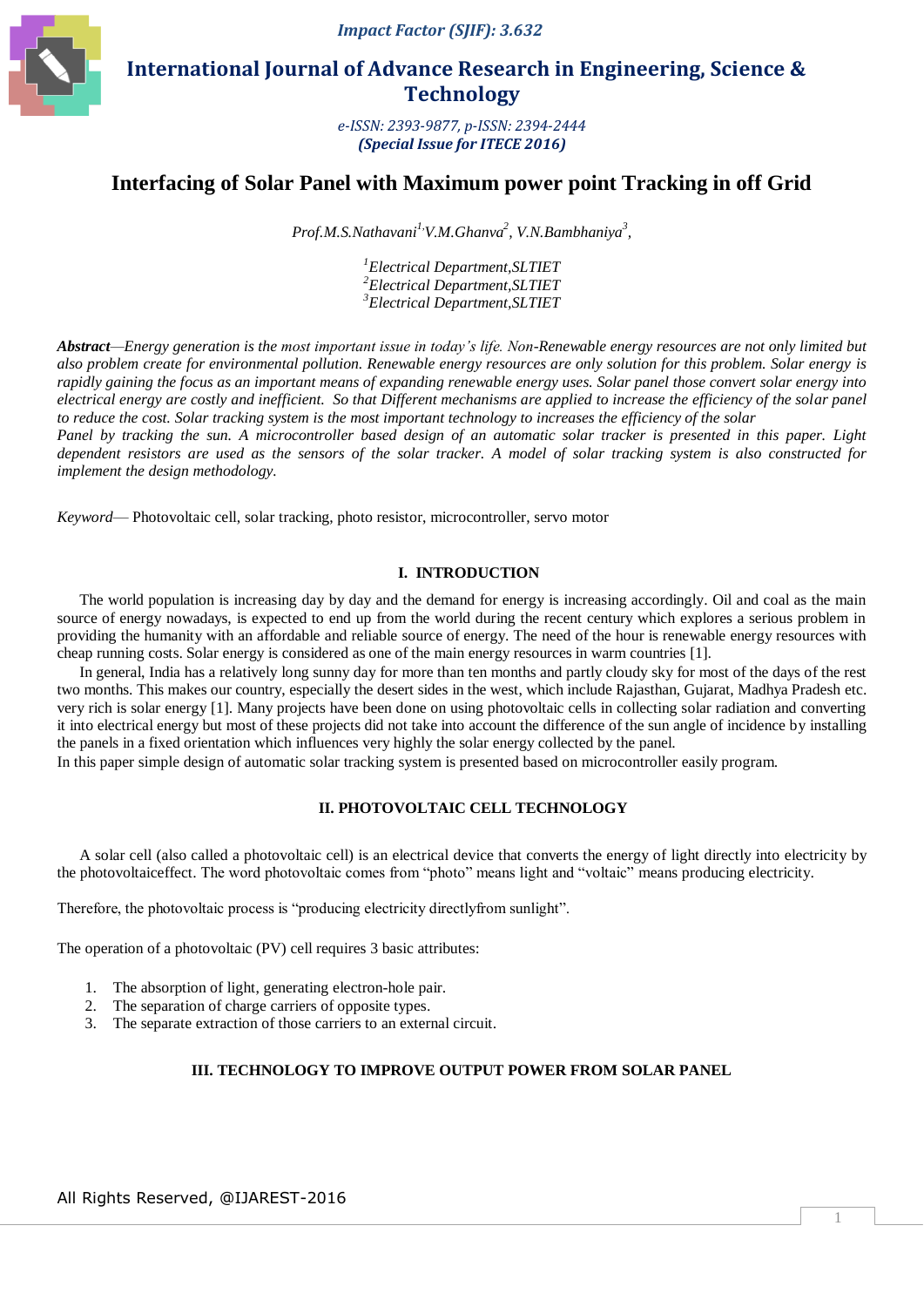

 **International Journal of Advance Research in Engineering, Science & Technology** 

> *e-ISSN: 2393-9877, p-ISSN: 2394-2444 (Special Issue for ITECE 2016)*

# **Interfacing of Solar Panel with Maximum power point Tracking in off Grid**

*Prof.M.S.Nathavani 1, V.M.Ghanva<sup>2</sup> , V.N.Bambhaniya<sup>3</sup> ,*

*1 Electrical Department,SLTIET 2 Electrical Department,SLTIET 3 Electrical Department,SLTIET*

*Abstract—Energy generation is the most important issue in today's life. Non-Renewable energy resources are not only limited but also problem create for environmental pollution. Renewable energy resources are only solution for this problem. Solar energy is rapidly gaining the focus as an important means of expanding renewable energy uses. Solar panel those convert solar energy into electrical energy are costly and inefficient. So that Different mechanisms are applied to increase the efficiency of the solar panel to reduce the cost. Solar tracking system is the most important technology to increases the efficiency of the solar Panel by tracking the sun. A microcontroller based design of an automatic solar tracker is presented in this paper. Light* 

*dependent resistors are used as the sensors of the solar tracker. A model of solar tracking system is also constructed for implement the design methodology.*

*Keyword*— Photovoltaic cell, solar tracking, photo resistor, microcontroller, servo motor

# **I. INTRODUCTION**

The world population is increasing day by day and the demand for energy is increasing accordingly. Oil and coal as the main source of energy nowadays, is expected to end up from the world during the recent century which explores a serious problem in providing the humanity with an affordable and reliable source of energy. The need of the hour is renewable energy resources with cheap running costs. Solar energy is considered as one of the main energy resources in warm countries [1].

In general, India has a relatively long sunny day for more than ten months and partly cloudy sky for most of the days of the rest two months. This makes our country, especially the desert sides in the west, which include Rajasthan, Gujarat, Madhya Pradesh etc. very rich is solar energy [1]. Many projects have been done on using photovoltaic cells in collecting solar radiation and converting it into electrical energy but most of these projects did not take into account the difference of the sun angle of incidence by installing the panels in a fixed orientation which influences very highly the solar energy collected by the panel.

In this paper simple design of automatic solar tracking system is presented based on microcontroller easily program.

# **II. PHOTOVOLTAIC CELL TECHNOLOGY**

A solar cell (also called a photovoltaic cell) is an electrical device that converts the energy of light directly into [electricity](http://en.wikipedia.org/wiki/Electricity) by the photovoltaiceffect. The word photovoltaic comes from "photo" means light and "voltaic" means producing electricity.

Therefore, the photovoltaic process is "producing electricity directlyfrom sunlight".

The operation of a photovoltaic (PV) cell requires 3 basic attributes:

- 1. The absorption of light, generating [electron-](http://en.wikipedia.org/wiki/Electron)[hole](http://en.wikipedia.org/wiki/Electron_hole) pair.
- 2. The separation of charge carriers of opposite types.
- 3. The separate extraction of those carriers to an external circuit.

# **III. TECHNOLOGY TO IMPROVE OUTPUT POWER FROM SOLAR PANEL**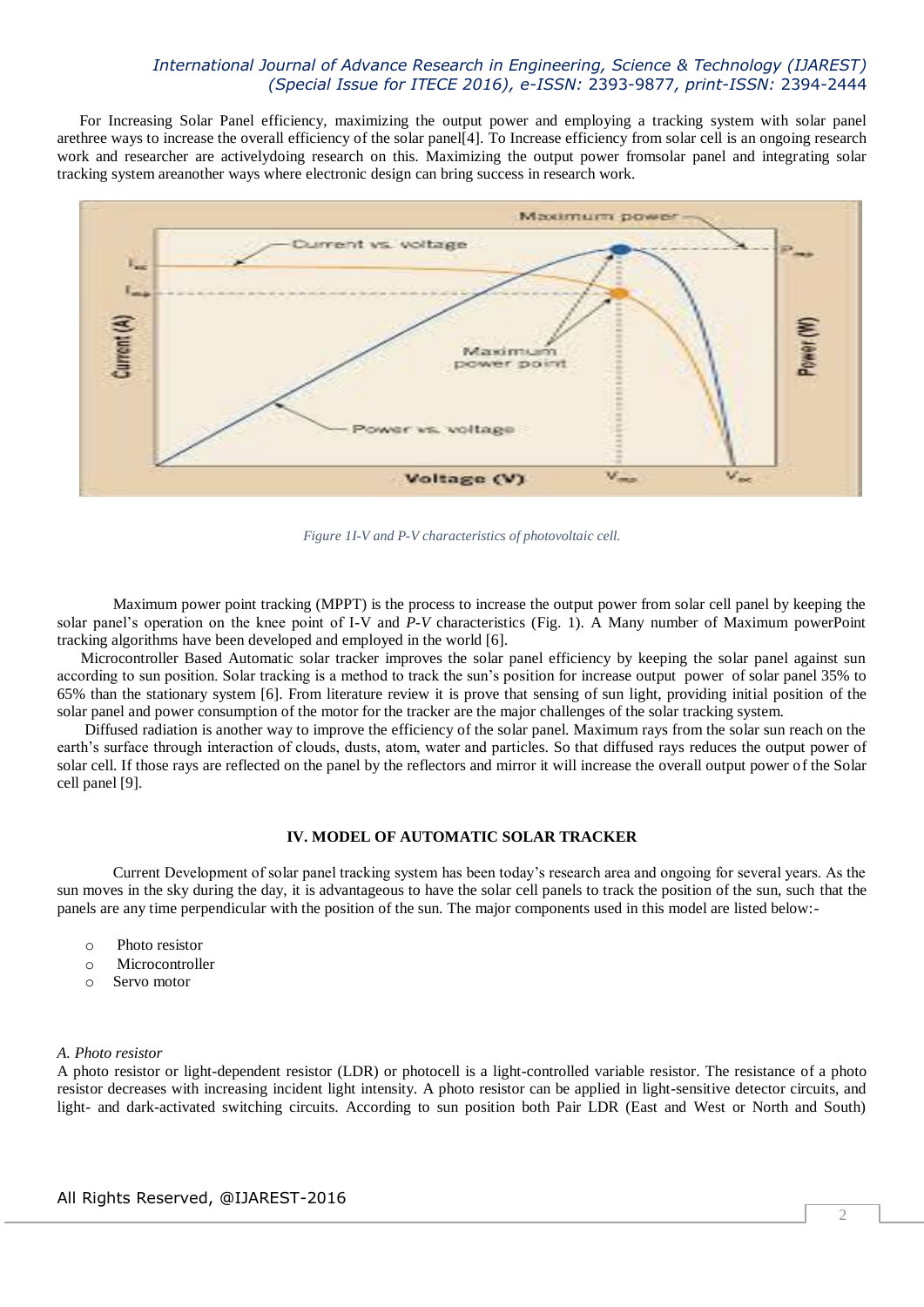For Increasing Solar Panel efficiency, maximizing the output power and employing a tracking system with solar panel arethree ways to increase the overall efficiency of the solar panel[4]. To Increase efficiency from solar cell is an ongoing research work and researcher are activelydoing research on this. Maximizing the output power fromsolar panel and integrating solar tracking system areanother ways where electronic design can bring success in research work.



*Figure 1I-V and P-V characteristics of photovoltaic cell.*

Maximum power point tracking (MPPT) is the process to increase the output power from solar cell panel by keeping the solar panel"s operation on the knee point of I-V and *P-V* characteristics (Fig. 1). A Many number of Maximum powerPoint tracking algorithms have been developed and employed in the world [6].

 Microcontroller Based Automatic solar tracker improves the solar panel efficiency by keeping the solar panel against sun according to sun position. Solar tracking is a method to track the sun"s position for increase output power of solar panel 35% to 65% than the stationary system [6]. From literature review it is prove that sensing of sun light, providing initial position of the solar panel and power consumption of the motor for the tracker are the major challenges of the solar tracking system.

 Diffused radiation is another way to improve the efficiency of the solar panel. Maximum rays from the solar sun reach on the earth's surface through interaction of clouds, dusts, atom, water and particles. So that diffused rays reduces the output power of solar cell. If those rays are reflected on the panel by the reflectors and mirror it will increase the overall output power of the Solar cell panel [9].

### **IV. MODEL OF AUTOMATIC SOLAR TRACKER**

Current Development of solar panel tracking system has been today"s research area and ongoing for several years. As the sun moves in the sky during the day, it is advantageous to have the solar cell panels to track the position of the sun, such that the panels are any time perpendicular with the position of the sun. The major components used in this model are listed below:-

- o Photo resistor
- o Microcontroller
- o Servo motor

### *A. Photo resistor*

A photo resistor or light-dependent resistor (LDR) or photocell is a light-controlled variable [resistor.](http://en.wikipedia.org/wiki/Resistor) The [resistance](http://en.wikipedia.org/wiki/Electrical_resistance) of a photo resistor decreases with increasing incident light intensity. A photo resistor can be applied in light-sensitive detector circuits, and light- and dark-activated switching circuits. According to sun position both Pair LDR (East and West or North and South)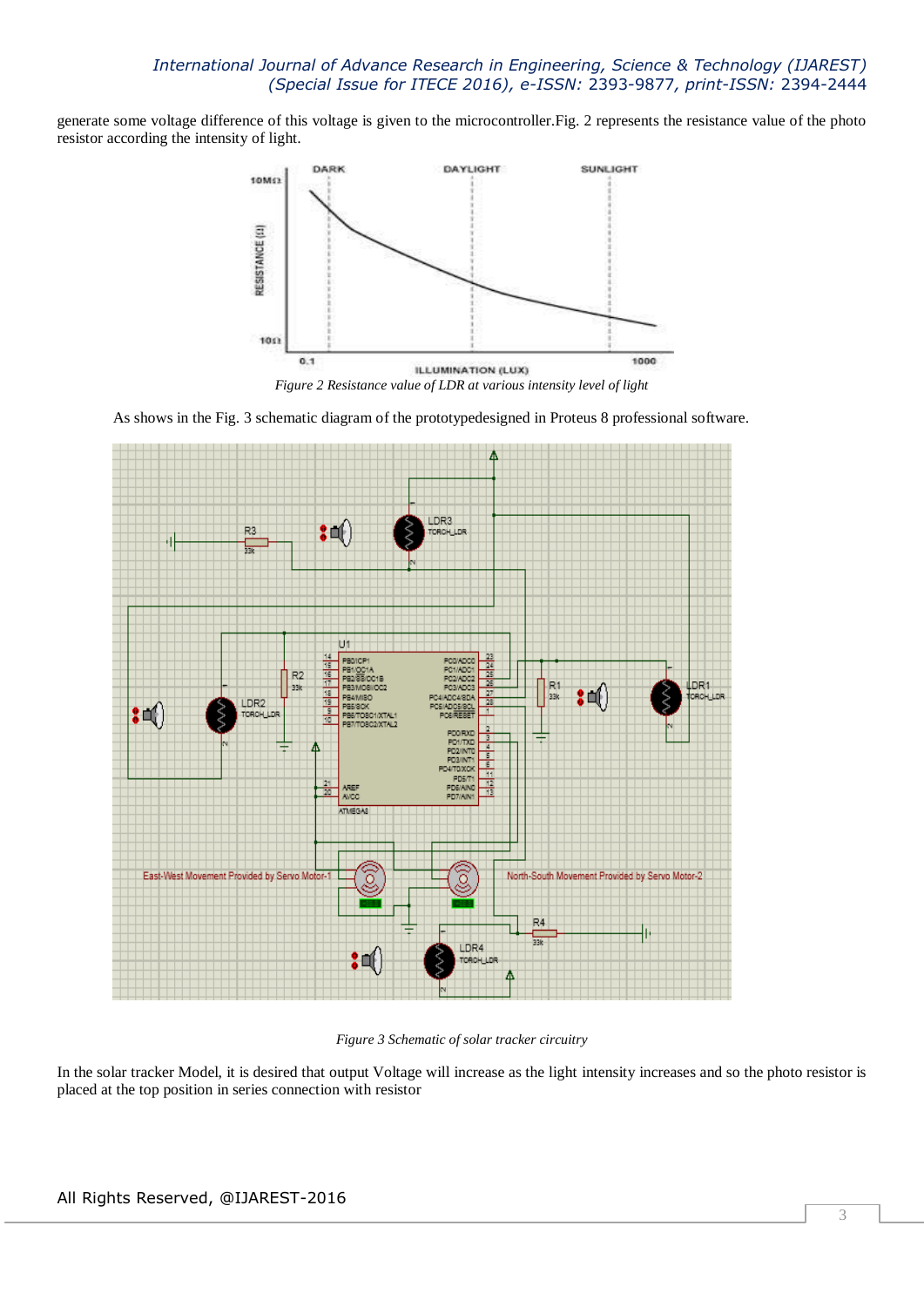generate some voltage difference of this voltage is given to the microcontroller.Fig. 2 represents the resistance value of the photo resistor according the intensity of light.



*Figure 2 Resistance value of LDR at various intensity level of light*

As shows in the Fig. 3 schematic diagram of the prototypedesigned in Proteus 8 professional software.



*Figure 3 Schematic of solar tracker circuitry*

In the solar tracker Model, it is desired that output Voltage will increase as the light intensity increases and so the photo resistor is placed at the top position in series connection with resistor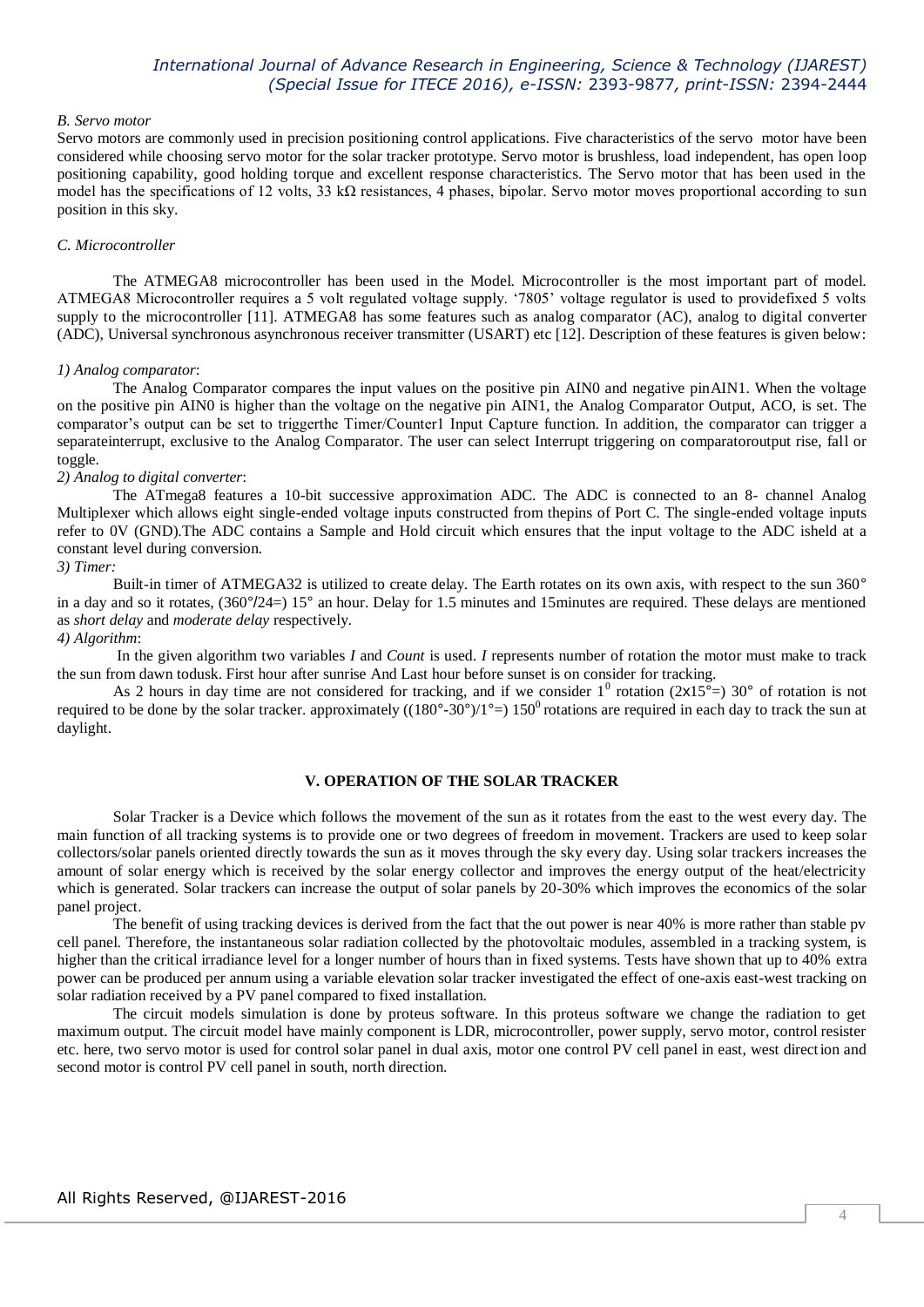#### *B. Servo motor*

Servo motors are commonly used in precision positioning control applications. Five characteristics of the servo motor have been considered while choosing servo motor for the solar tracker prototype. Servo motor is brushless, load independent, has open loop positioning capability, good holding torque and excellent response characteristics. The Servo motor that has been used in the model has the specifications of 12 volts, 33 kΩ resistances, 4 phases, bipolar. Servo motor moves proportional according to sun position in this sky.

## *C. Microcontroller*

The ATMEGA8 microcontroller has been used in the Model. Microcontroller is the most important part of model. ATMEGA8 Microcontroller requires a 5 volt regulated voltage supply. "7805" voltage regulator is used to providefixed 5 volts supply to the microcontroller [11]. ATMEGA8 has some features such as analog comparator (AC), analog to digital converter (ADC), Universal synchronous asynchronous receiver transmitter (USART) etc [12]. Description of these features is given below:

#### *1) Analog comparator*:

The Analog Comparator compares the input values on the positive pin AIN0 and negative pinAIN1. When the voltage on the positive pin AIN0 is higher than the voltage on the negative pin AIN1, the Analog Comparator Output, ACO, is set. The comparator"s output can be set to triggerthe Timer/Counter1 Input Capture function. In addition, the comparator can trigger a separateinterrupt, exclusive to the Analog Comparator. The user can select Interrupt triggering on comparatoroutput rise, fall or toggle.

### *2) Analog to digital converter*:

The ATmega8 features a 10-bit successive approximation ADC. The ADC is connected to an 8- channel Analog Multiplexer which allows eight single-ended voltage inputs constructed from thepins of Port C. The single-ended voltage inputs refer to 0V (GND).The ADC contains a Sample and Hold circuit which ensures that the input voltage to the ADC isheld at a constant level during conversion.

## *3) Timer:*

Built-in timer of ATMEGA32 is utilized to create delay. The Earth rotates on its own axis, with respect to the sun 360° in a day and so it rotates, (360°/24=) 15° an hour. Delay for 1.5 minutes and 15minutes are required. These delays are mentioned as *short delay* and *moderate delay* respectively.

### *4) Algorithm*:

In the given algorithm two variables *I* and *Count* is used. *I* represents number of rotation the motor must make to track the sun from dawn todusk. First hour after sunrise And Last hour before sunset is on consider for tracking.

As 2 hours in day time are not considered for tracking, and if we consider  $1^0$  rotation (2x15<sup>o</sup> =) 30° of rotation is not required to be done by the solar tracker. approximately  $((180°-30°)/1°=) 150°$  rotations are required in each day to track the sun at daylight.

### **V. OPERATION OF THE SOLAR TRACKER**

Solar Tracker is a Device which follows the movement of the sun as it rotates from the east to the west every day. The main function of all tracking systems is to provide one or two degrees of freedom in movement. Trackers are used to keep solar collectors/solar panels oriented directly towards the sun as it moves through the sky every day. Using solar trackers increases the amount of solar energy which is received by the solar energy collector and improves the energy output of the heat/electricity which is generated. Solar trackers can increase the output of solar panels by 20-30% which improves the economics of the solar panel project.

The benefit of using tracking devices is derived from the fact that the out power is near 40% is more rather than stable pv cell panel. Therefore, the instantaneous solar radiation collected by the photovoltaic modules, assembled in a tracking system, is higher than the critical irradiance level for a longer number of hours than in fixed systems. Tests have shown that up to 40% extra power can be produced per annum using a variable elevation solar tracker investigated the effect of one-axis east-west tracking on solar radiation received by a PV panel compared to fixed installation.

The circuit models simulation is done by proteus software. In this proteus software we change the radiation to get maximum output. The circuit model have mainly component is LDR, microcontroller, power supply, servo motor, control resister etc. here, two servo motor is used for control solar panel in dual axis, motor one control PV cell panel in east, west direction and second motor is control PV cell panel in south, north direction.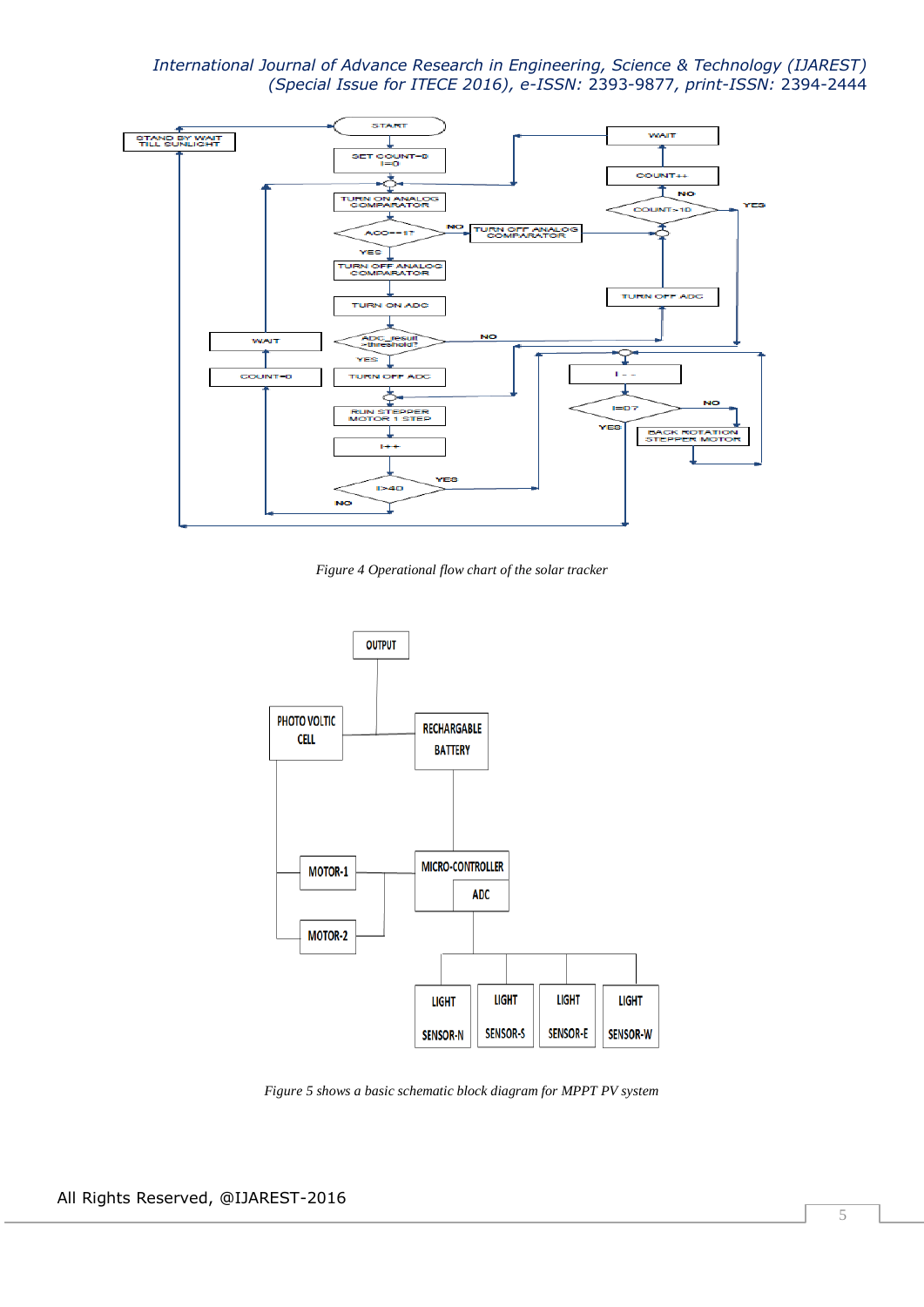

*Figure 4 Operational flow chart of the solar tracker*



*Figure 5 shows a basic schematic block diagram for MPPT PV system*